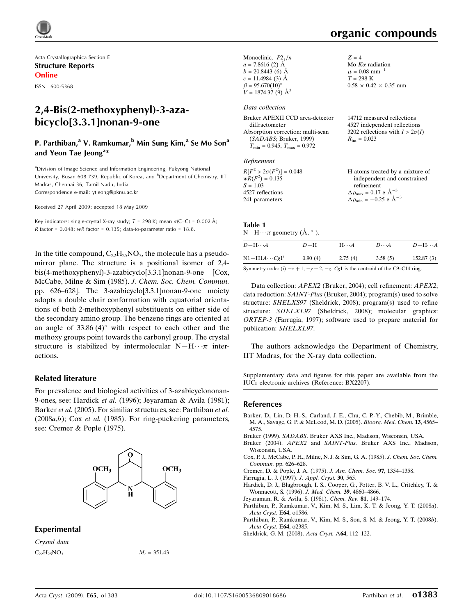

Acta Crystallographica Section E Structure Reports Online

ISSN 1600-5368

# 2,4-Bis(2-methoxyphenyl)-3-azabicyclo[3.3.1]nonan-9-one

### P. Parthiban,<sup>a</sup> V. Ramkumar,<sup>b</sup> Min Sung Kim,<sup>a</sup> Se Mo Son<sup>a</sup> and Yeon Tae Jeong<sup>a\*</sup>

<sup>a</sup>Division of Image Science and Information Engineering, Pukyong National University, Busan 608 739, Republic of Korea, and <sup>b</sup>Department of Chemistry, IIT Madras, Chennai 36, Tamil Nadu, India Correspondence e-mail: ytjeong@pknu.ac.kr

Received 27 April 2009; accepted 18 May 2009

Key indicators: single-crystal X-ray study;  $T = 298$  K; mean  $\sigma$ (C–C) = 0.002 Å; R factor =  $0.048$ ; wR factor =  $0.135$ ; data-to-parameter ratio = 18.8.

In the title compound,  $C_{22}H_{25}NO_3$ , the molecule has a pseudomirror plane. The structure is a positional isomer of 2,4 bis(4-methoxyphenyl)-3-azabicyclo[3.3.1]nonan-9-one [Cox, McCabe, Milne & Sim (1985). J. Chem. Soc. Chem. Commun. pp. 626–628]. The 3-azabicyclo[3.3.1]nonan-9-one moiety adopts a double chair conformation with equatorial orientations of both 2-methoxyphenyl substituents on either side of the secondary amino group. The benzene rings are oriented at an angle of  $33.86 (4)°$  with respect to each other and the methoxy groups point towards the carbonyl group. The crystal structure is stabilized by intermolecular  $N-H \cdots \pi$  interactions.

#### Related literature

For prevalence and biological activities of 3-azabicyclononan-9-ones, see: Hardick et al. (1996); Jeyaraman & Avila (1981); Barker et al. (2005). For similiar structures, see: Parthiban et al.  $(2008a,b)$ ; Cox *et al.* (1985). For ring-puckering parameters, see: Cremer & Pople (1975).



#### Experimental

Crystal data  $C_{22}H_{25}NO_3$   $M_r = 351.43$  organic compounds

| Monoclinic, $P2_1/n$<br>$a = 7.8616(2)$ Å<br>$b = 20.8443(6)$ Å<br>$c = 11.4984(3)$ Å<br>$\beta = 95.670(10)$ °<br>$V = 1874.37(9)$ Å <sup>3</sup>                      | $Z = 4$<br>Mo $K\alpha$ radiation<br>$\mu = 0.08$ mm <sup>-1</sup><br>$T = 298 \text{ K}$<br>$0.58 \times 0.42 \times 0.35$ mm   |
|-------------------------------------------------------------------------------------------------------------------------------------------------------------------------|----------------------------------------------------------------------------------------------------------------------------------|
| Data collection                                                                                                                                                         |                                                                                                                                  |
| Bruker APEXII CCD area-detector<br>diffractometer<br>Absorption correction: multi-scan<br>(SADABS; Bruker, 1999)<br>$T_{\text{min}} = 0.945$ , $T_{\text{max}} = 0.972$ | 14712 measured reflections<br>4527 independent reflections<br>3202 reflections with $I > 2\sigma(I)$<br>$R_{\text{int}} = 0.023$ |
| Refinement                                                                                                                                                              |                                                                                                                                  |
| $R[F^2 > 2\sigma(F^2)] = 0.048$                                                                                                                                         | H atoms treated by a mixture of                                                                                                  |

| $K[T > 20(T)] = 0.048$ | <b>r</b> atoms treated by a mixture of             |
|------------------------|----------------------------------------------------|
| $wR(F^2) = 0.135$      | independent and constrained                        |
| $S = 1.03$             | refinement                                         |
| 4527 reflections       | $\Delta \rho_{\text{max}} = 0.17 \text{ e A}^{-3}$ |
| 241 parameters         | $\Delta \rho_{\rm min} = -0.25$ e $\rm \AA^{-3}$   |
|                        |                                                    |

#### Table 1  $N-H \cdots \pi$  geometry  $(\AA, \degree)$ .

| $D$ -H $\cdots$ A    | $D-H$   | $H\cdots A$ | $D\cdots A$ | $D - H \cdots A$ |
|----------------------|---------|-------------|-------------|------------------|
| $N1-H1A\cdots Cg1^i$ | 0.90(4) | 2.75(4)     | 3.58(5)     | 152.87(3)        |
|                      |         |             |             |                  |

Symmetry code: (i)  $-x + 1$ ,  $-y + 2$ ,  $-z$ . Cg1 is the centroid of the C9–C14 ring.

Data collection: APEX2 (Bruker, 2004); cell refinement: APEX2; data reduction: SAINT-Plus (Bruker, 2004); program(s) used to solve structure: SHELXS97 (Sheldrick, 2008); program(s) used to refine structure: SHELXL97 (Sheldrick, 2008); molecular graphics: ORTEP-3 (Farrugia, 1997); software used to prepare material for publication: SHELXL97.

The authors acknowledge the Department of Chemistry, IIT Madras, for the X-ray data collection.

Supplementary data and figures for this paper are available from the IUCr electronic archives (Reference: BX2207).

#### References

- [Barker, D., Lin, D. H.-S., Carland, J. E., Chu, C. P.-Y., Chebib, M., Brimble,](http://scripts.iucr.org/cgi-bin/cr.cgi?rm=pdfbb&cnor=bx2207&bbid=BB1) [M. A., Savage, G. P. & McLeod, M. D. \(2005\).](http://scripts.iucr.org/cgi-bin/cr.cgi?rm=pdfbb&cnor=bx2207&bbid=BB1) Bioorg. Med. Chem. 13, 4565– [4575.](http://scripts.iucr.org/cgi-bin/cr.cgi?rm=pdfbb&cnor=bx2207&bbid=BB1)
- Bruker (1999). SADABS[. Bruker AXS Inc., Madison, Wisconsin, USA.](http://scripts.iucr.org/cgi-bin/cr.cgi?rm=pdfbb&cnor=bx2207&bbid=BB2)
- Bruker (2004). APEX2 and SAINT-Plus[. Bruker AXS Inc., Madison,](http://scripts.iucr.org/cgi-bin/cr.cgi?rm=pdfbb&cnor=bx2207&bbid=BB3)
- [Wisconsin, USA.](http://scripts.iucr.org/cgi-bin/cr.cgi?rm=pdfbb&cnor=bx2207&bbid=BB3) [Cox, P. J., McCabe, P. H., Milne, N. J. & Sim, G. A. \(1985\).](http://scripts.iucr.org/cgi-bin/cr.cgi?rm=pdfbb&cnor=bx2207&bbid=BB4) J. Chem. Soc. Chem.
- Commun. [pp. 626–628.](http://scripts.iucr.org/cgi-bin/cr.cgi?rm=pdfbb&cnor=bx2207&bbid=BB4) [Cremer, D. & Pople, J. A. \(1975\).](http://scripts.iucr.org/cgi-bin/cr.cgi?rm=pdfbb&cnor=bx2207&bbid=BB5) J. Am. Chem. Soc. 97, 1354–1358.
- [Farrugia, L. J. \(1997\).](http://scripts.iucr.org/cgi-bin/cr.cgi?rm=pdfbb&cnor=bx2207&bbid=BB6) J. Appl. Cryst. 30, 565.
- [Hardick, D. J., Blagbrough, I. S., Cooper, G., Potter, B. V. L., Critchley, T. &](http://scripts.iucr.org/cgi-bin/cr.cgi?rm=pdfbb&cnor=bx2207&bbid=BB7) [Wonnacott, S. \(1996\).](http://scripts.iucr.org/cgi-bin/cr.cgi?rm=pdfbb&cnor=bx2207&bbid=BB7) J. Med. Chem. 39, 4860–4866.
- [Jeyaraman, R. & Avila, S. \(1981\).](http://scripts.iucr.org/cgi-bin/cr.cgi?rm=pdfbb&cnor=bx2207&bbid=BB8) Chem. Rev. 81, 149–174.
- [Parthiban, P., Ramkumar, V., Kim, M. S., Lim, K. T. & Jeong, Y. T. \(2008](http://scripts.iucr.org/cgi-bin/cr.cgi?rm=pdfbb&cnor=bx2207&bbid=BB9)a). [Acta Cryst.](http://scripts.iucr.org/cgi-bin/cr.cgi?rm=pdfbb&cnor=bx2207&bbid=BB9) E64, o1586.
- [Parthiban, P., Ramkumar, V., Kim, M. S., Son, S. M. & Jeong, Y. T. \(2008](http://scripts.iucr.org/cgi-bin/cr.cgi?rm=pdfbb&cnor=bx2207&bbid=BB10)b). [Acta Cryst.](http://scripts.iucr.org/cgi-bin/cr.cgi?rm=pdfbb&cnor=bx2207&bbid=BB10) E64, o2385.
- [Sheldrick, G. M. \(2008\).](http://scripts.iucr.org/cgi-bin/cr.cgi?rm=pdfbb&cnor=bx2207&bbid=BB11) Acta Cryst. A64, 112–122.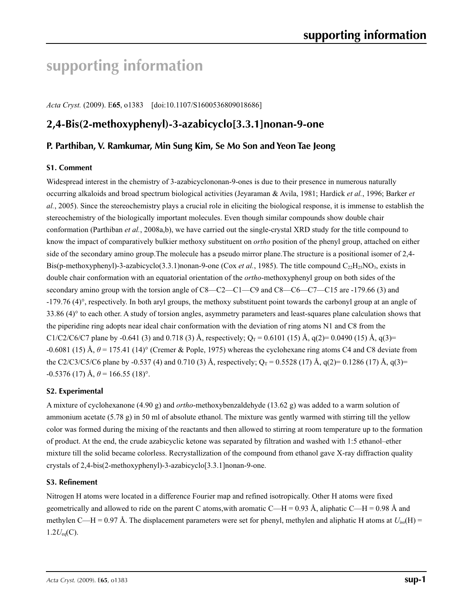# **supporting information**

*Acta Cryst.* (2009). E**65**, o1383 [doi:10.1107/S1600536809018686]

# **2,4-Bis(2-methoxyphenyl)-3-azabicyclo[3.3.1]nonan-9-one**

### **P. Parthiban, V. Ramkumar, Min Sung Kim, Se Mo Son and Yeon Tae Jeong**

#### **S1. Comment**

Widespread interest in the chemistry of 3-azabicyclononan-9-ones is due to their presence in numerous naturally occurring alkaloids and broad spectrum biological activities (Jeyaraman & Avila, 1981; Hardick *et al.*, 1996; Barker *et al.*, 2005). Since the stereochemistry plays a crucial role in eliciting the biological response, it is immense to establish the stereochemistry of the biologically important molecules. Even though similar compounds show double chair conformation (Parthiban *et al.*, 2008a,b), we have carried out the single-crystal XRD study for the title compound to know the impact of comparatively bulkier methoxy substituent on *ortho* position of the phenyl group, attached on either side of the secondary amino group.The molecule has a pseudo mirror plane.The structure is a positional isomer of 2,4- Bis(p-methoxyphenyl)-3-azabicyclo(3.3.1)nonan-9-one (Cox *et al.*, 1985). The title compound C<sub>22</sub>H<sub>25</sub>NO<sub>3</sub>, exists in double chair conformation with an equatorial orientation of the *ortho*-methoxyphenyl group on both sides of the secondary amino group with the torsion angle of C8—C2—C1—C9 and C8—C6—C7—C15 are -179.66 (3) and -179.76 (4)°, respectively. In both aryl groups, the methoxy substituent point towards the carbonyl group at an angle of  $33.86$  (4) $\degree$  to each other. A study of torsion angles, asymmetry parameters and least-squares plane calculation shows that the piperidine ring adopts near ideal chair conformation with the deviation of ring atoms N1 and C8 from the C1/C2/C6/C7 plane by -0.641 (3) and 0.718 (3) Å, respectively;  $Q_T = 0.6101$  (15) Å, q(2)= 0.0490 (15) Å, q(3)=  $-0.6081$  (15) Å,  $\theta$  = 175.41 (14)° (Cremer & Pople, 1975) whereas the cyclohexane ring atoms C4 and C8 deviate from the C2/C3/C5/C6 plane by -0.537 (4) and 0.710 (3) Å, respectively;  $Q_T = 0.5528$  (17) Å, q(2)= 0.1286 (17) Å, q(3)=  $-0.5376$  (17) Å,  $\theta$  = 166.55 (18)°.

#### **S2. Experimental**

A mixture of cyclohexanone (4.90 g) and *ortho*-methoxybenzaldehyde (13.62 g) was added to a warm solution of ammonium acetate (5.78 g) in 50 ml of absolute ethanol. The mixture was gently warmed with stirring till the yellow color was formed during the mixing of the reactants and then allowed to stirring at room temperature up to the formation of product. At the end, the crude azabicyclic ketone was separated by filtration and washed with 1:5 ethanol–ether mixture till the solid became colorless. Recrystallization of the compound from ethanol gave X-ray diffraction quality crystals of 2,4-bis(2-methoxyphenyl)-3-azabicyclo[3.3.1]nonan-9-one.

#### **S3. Refinement**

Nitrogen H atoms were located in a difference Fourier map and refined isotropically. Other H atoms were fixed geometrically and allowed to ride on the parent C atoms, with aromatic C—H = 0.93 Å, aliphatic C—H = 0.98 Å and methylen C—H = 0.97 Å. The displacement parameters were set for phenyl, methylen and aliphatic H atoms at  $U_{iso}(H)$  =  $1.2U_{eq}(C)$ .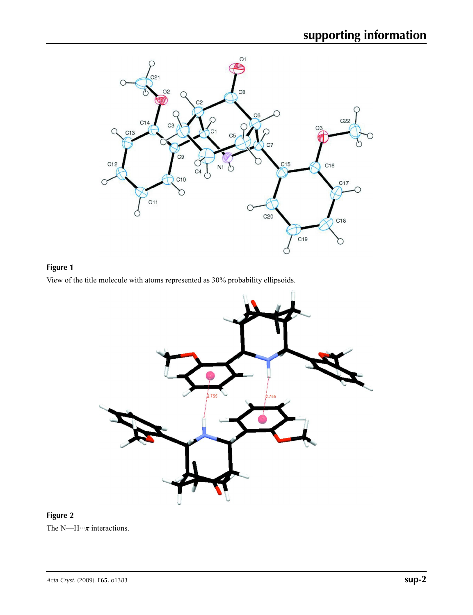

# **Figure 1**

View of the title molecule with atoms represented as 30% probability ellipsoids.



## **Figure 2**

The N—H···*π* interactions.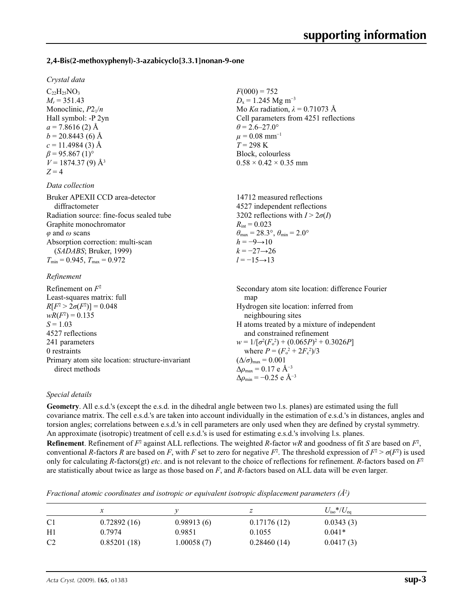#### **2,4-Bis(2-methoxyphenyl)-3-azabicyclo[3.3.1]nonan-9-one**

#### *Crystal data*

 $C_{22}H_{25}NO_3$  $M_r = 351.43$ Monoclinic, *P*21/*n* Hall symbol: -P 2yn  $a = 7.8616(2)$  Å  $b = 20.8443(6)$  Å  $c = 11.4984(3)$  Å  $\beta$  = 95.867 (1)<sup>o</sup>  $V = 1874.37(9)$  Å<sup>3</sup>  $Z = 4$ 

#### *Data collection*

| Bruker APEXII CCD area-detector          | 14712 measured reflections                                              |
|------------------------------------------|-------------------------------------------------------------------------|
| diffractometer                           | 4527 independent reflections                                            |
| Radiation source: fine-focus sealed tube | 3202 reflections with $I > 2\sigma(I)$                                  |
| Graphite monochromator                   | $R_{\text{int}} = 0.023$                                                |
| $\varphi$ and $\omega$ scans             | $\theta_{\text{max}} = 28.3^{\circ}, \theta_{\text{min}} = 2.0^{\circ}$ |
| Absorption correction: multi-scan        | $h = -9 \rightarrow 10$                                                 |
| (SADABS; Bruker, 1999)                   | $k = -27 \rightarrow 26$                                                |
| $T_{\min}$ = 0.945, $T_{\max}$ = 0.972   | $l = -15 \rightarrow 13$                                                |
|                                          |                                                                         |

#### *Refinement*

| Refinement on $F^2$                             | Secondary atom site location: difference Fourier            |
|-------------------------------------------------|-------------------------------------------------------------|
| Least-squares matrix: full                      | map                                                         |
| $R[F^2 > 2\sigma(F^2)] = 0.048$                 | Hydrogen site location: inferred from                       |
| $wR(F^2) = 0.135$                               | neighbouring sites                                          |
| $S = 1.03$                                      | H atoms treated by a mixture of independent                 |
| 4527 reflections                                | and constrained refinement                                  |
| 241 parameters                                  | $w = 1/[\sigma^2(F_0^2) + (0.065P)^2 + 0.3026P]$            |
| 0 restraints                                    | where $P = (F_0^2 + 2F_c^2)/3$                              |
| Primary atom site location: structure invariant | $(\Delta/\sigma)_{\text{max}} = 0.001$                      |
| direct methods                                  | $\Delta\rho_{\text{max}} = 0.17 \text{ e } \text{\AA}^{-3}$ |
|                                                 | $\Delta\rho_{\rm min} = -0.25$ e Å <sup>-3</sup>            |

 $F(000) = 752$  $D_x = 1.245$  Mg m<sup>-3</sup>

 $\theta$  = 2.6–27.0°  $\mu = 0.08$  mm<sup>-1</sup> *T* = 298 K Block, colourless  $0.58 \times 0.42 \times 0.35$  mm

Mo *Kα* radiation, *λ* = 0.71073 Å Cell parameters from 4251 reflections

#### *Special details*

**Geometry**. All e.s.d.'s (except the e.s.d. in the dihedral angle between two l.s. planes) are estimated using the full covariance matrix. The cell e.s.d.'s are taken into account individually in the estimation of e.s.d.'s in distances, angles and torsion angles; correlations between e.s.d.'s in cell parameters are only used when they are defined by crystal symmetry. An approximate (isotropic) treatment of cell e.s.d.'s is used for estimating e.s.d.'s involving l.s. planes. **Refinement**. Refinement of  $F^2$  against ALL reflections. The weighted *R*-factor  $wR$  and goodness of fit *S* are based on  $F^2$ , conventional *R*-factors *R* are based on *F*, with *F* set to zero for negative  $F^2$ . The threshold expression of  $F^2 > \sigma(F^2)$  is used only for calculating *R*-factors(gt) *etc*. and is not relevant to the choice of reflections for refinement. *R*-factors based on *F*<sup>2</sup> are statistically about twice as large as those based on *F*, and *R*-factors based on ALL data will be even larger.

*Fractional atomic coordinates and isotropic or equivalent isotropic displacement parameters (Å<sup>2</sup>)* 

|             |             | z           | $U_{\rm iso}*/U_{\rm eq}$ |  |
|-------------|-------------|-------------|---------------------------|--|
| 0.72892(16) | 0.98913(6)  | 0.17176(12) | 0.0343(3)                 |  |
| 0.7974      | 0.9851      | 0.1055      | $0.041*$                  |  |
| 0.85201(18) | 1.00058 (7) | 0.28460(14) | 0.0417(3)                 |  |
|             |             |             |                           |  |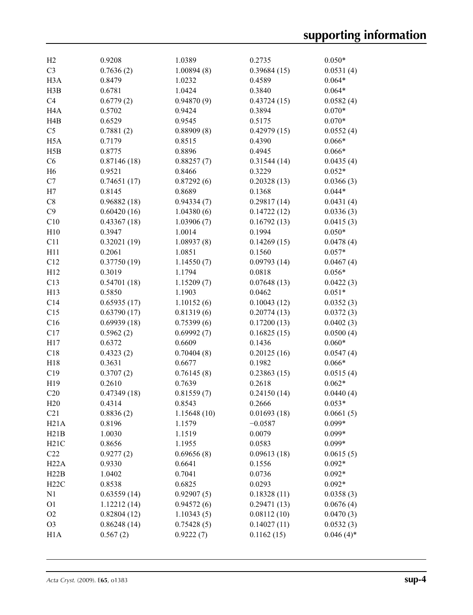| H2               | 0.9208           | 1.0389      | 0.2735      | $0.050*$     |
|------------------|------------------|-------------|-------------|--------------|
| C <sub>3</sub>   | 0.7636(2)        | 1.00894(8)  | 0.39684(15) | 0.0531(4)    |
| H <sub>3</sub> A | 0.8479           | 1.0232      | 0.4589      | $0.064*$     |
| H3B              | 0.6781           | 1.0424      | 0.3840      | $0.064*$     |
| C <sub>4</sub>   | 0.6779(2)        | 0.94870(9)  | 0.43724(15) | 0.0582(4)    |
| H <sub>4</sub> A | 0.5702           | 0.9424      | 0.3894      | $0.070*$     |
| H4B              | 0.6529           | 0.9545      | 0.5175      | $0.070*$     |
| C <sub>5</sub>   | 0.7881(2)        | 0.88909(8)  | 0.42979(15) | 0.0552(4)    |
| H <sub>5</sub> A |                  | 0.8515      |             | $0.066*$     |
|                  | 0.7179<br>0.8775 | 0.8896      | 0.4390      |              |
| H5B              |                  |             | 0.4945      | $0.066*$     |
| C6               | 0.87146(18)      | 0.88257(7)  | 0.31544(14) | 0.0435(4)    |
| H <sub>6</sub>   | 0.9521           | 0.8466      | 0.3229      | $0.052*$     |
| C7               | 0.74651(17)      | 0.87292(6)  | 0.20328(13) | 0.0366(3)    |
| H7               | 0.8145           | 0.8689      | 0.1368      | $0.044*$     |
| C8               | 0.96882(18)      | 0.94334(7)  | 0.29817(14) | 0.0431(4)    |
| C9               | 0.60420(16)      | 1.04380(6)  | 0.14722(12) | 0.0336(3)    |
| C10              | 0.43367(18)      | 1.03906(7)  | 0.16792(13) | 0.0415(3)    |
| H10              | 0.3947           | 1.0014      | 0.1994      | $0.050*$     |
| C11              | 0.32021(19)      | 1.08937(8)  | 0.14269(15) | 0.0478(4)    |
| H11              | 0.2061           | 1.0851      | 0.1560      | $0.057*$     |
| C12              | 0.37750(19)      | 1.14550(7)  | 0.09793(14) | 0.0467(4)    |
| H12              | 0.3019           | 1.1794      | 0.0818      | $0.056*$     |
| C13              | 0.54701(18)      | 1.15209(7)  | 0.07648(13) | 0.0422(3)    |
| H13              | 0.5850           | 1.1903      | 0.0462      | $0.051*$     |
| C14              | 0.65935(17)      | 1.10152(6)  | 0.10043(12) | 0.0352(3)    |
| C15              | 0.63790(17)      | 0.81319(6)  | 0.20774(13) | 0.0372(3)    |
| C16              | 0.69939(18)      | 0.75399(6)  | 0.17200(13) | 0.0402(3)    |
| C17              | 0.5962(2)        | 0.69992(7)  | 0.16825(15) | 0.0500(4)    |
| H17              | 0.6372           | 0.6609      | 0.1436      | $0.060*$     |
| C18              | 0.4323(2)        | 0.70404(8)  | 0.20125(16) | 0.0547(4)    |
| H18              | 0.3631           | 0.6677      | 0.1982      | $0.066*$     |
| C19              | 0.3707(2)        | 0.76145(8)  | 0.23863(15) | 0.0515(4)    |
| H19              | 0.2610           | 0.7639      | 0.2618      | $0.062*$     |
| C20              | 0.47349(18)      | 0.81559(7)  | 0.24150(14) | 0.0440(4)    |
| H20              | 0.4314           | 0.8543      | 0.2666      | $0.053*$     |
| C21              | 0.8836(2)        | 1.15648(10) | 0.01693(18) | 0.0661(5)    |
| H21A             | 0.8196           | 1.1579      | $-0.0587$   | $0.099*$     |
| H21B             | 1.0030           | 1.1519      | 0.0079      | $0.099*$     |
| H21C             | 0.8656           | 1.1955      | 0.0583      | $0.099*$     |
| C22              | 0.9277(2)        | 0.69656(8)  | 0.09613(18) | 0.0615(5)    |
| H22A             | 0.9330           | 0.6641      | 0.1556      | $0.092*$     |
| H22B             | 1.0402           | 0.7041      | 0.0736      | $0.092*$     |
| H22C             | 0.8538           | 0.6825      | 0.0293      | $0.092*$     |
| N1               | 0.63559(14)      | 0.92907(5)  | 0.18328(11) | 0.0358(3)    |
| O <sub>1</sub>   | 1.12212(14)      | 0.94572(6)  | 0.29471(13) | 0.0676(4)    |
|                  |                  |             |             |              |
| O <sub>2</sub>   | 0.82804(12)      | 1.10343(5)  | 0.08112(10) | 0.0470(3)    |
| O <sub>3</sub>   | 0.86248(14)      | 0.75428(5)  | 0.14027(11) | 0.0532(3)    |
| H <sub>1</sub> A | 0.567(2)         | 0.9222(7)   | 0.1162(15)  | $0.046(4)$ * |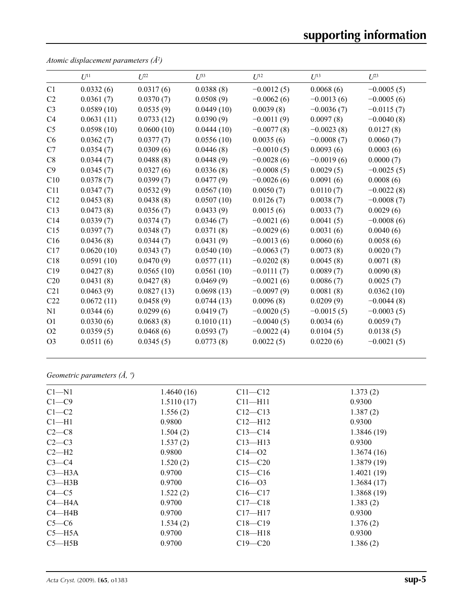# **supporting information**

|                | $U^{11}$   | $U^{22}$   | $U^{33}$   | $U^{12}$     | $U^{13}$     | $U^{23}$     |
|----------------|------------|------------|------------|--------------|--------------|--------------|
| C1             | 0.0332(6)  | 0.0317(6)  | 0.0388(8)  | $-0.0012(5)$ | 0.0068(6)    | $-0.0005(5)$ |
| C <sub>2</sub> | 0.0361(7)  | 0.0370(7)  | 0.0508(9)  | $-0.0062(6)$ | $-0.0013(6)$ | $-0.0005(6)$ |
| C <sub>3</sub> | 0.0589(10) | 0.0535(9)  | 0.0449(10) | 0.0039(8)    | $-0.0036(7)$ | $-0.0115(7)$ |
| C <sub>4</sub> | 0.0631(11) | 0.0733(12) | 0.0390(9)  | $-0.0011(9)$ | 0.0097(8)    | $-0.0040(8)$ |
| C <sub>5</sub> | 0.0598(10) | 0.0600(10) | 0.0444(10) | $-0.0077(8)$ | $-0.0023(8)$ | 0.0127(8)    |
| C6             | 0.0362(7)  | 0.0377(7)  | 0.0556(10) | 0.0035(6)    | $-0.0008(7)$ | 0.0060(7)    |
| C7             | 0.0354(7)  | 0.0309(6)  | 0.0446(8)  | $-0.0010(5)$ | 0.0093(6)    | 0.0003(6)    |
| C8             | 0.0344(7)  | 0.0488(8)  | 0.0448(9)  | $-0.0028(6)$ | $-0.0019(6)$ | 0.0000(7)    |
| C9             | 0.0345(7)  | 0.0327(6)  | 0.0336(8)  | $-0.0008(5)$ | 0.0029(5)    | $-0.0025(5)$ |
| C10            | 0.0378(7)  | 0.0399(7)  | 0.0477(9)  | $-0.0026(6)$ | 0.0091(6)    | 0.0008(6)    |
| C11            | 0.0347(7)  | 0.0532(9)  | 0.0567(10) | 0.0050(7)    | 0.0110(7)    | $-0.0022(8)$ |
| C12            | 0.0453(8)  | 0.0438(8)  | 0.0507(10) | 0.0126(7)    | 0.0038(7)    | $-0.0008(7)$ |
| C13            | 0.0473(8)  | 0.0356(7)  | 0.0433(9)  | 0.0015(6)    | 0.0033(7)    | 0.0029(6)    |
| C14            | 0.0339(7)  | 0.0374(7)  | 0.0346(7)  | $-0.0021(6)$ | 0.0041(5)    | $-0.0008(6)$ |
| C15            | 0.0397(7)  | 0.0348(7)  | 0.0371(8)  | $-0.0029(6)$ | 0.0031(6)    | 0.0040(6)    |
| C16            | 0.0436(8)  | 0.0344(7)  | 0.0431(9)  | $-0.0013(6)$ | 0.0060(6)    | 0.0058(6)    |
| C17            | 0.0620(10) | 0.0343(7)  | 0.0540(10) | $-0.0063(7)$ | 0.0073(8)    | 0.0020(7)    |
| C18            | 0.0591(10) | 0.0470(9)  | 0.0577(11) | $-0.0202(8)$ | 0.0045(8)    | 0.0071(8)    |
| C19            | 0.0427(8)  | 0.0565(10) | 0.0561(10) | $-0.0111(7)$ | 0.0089(7)    | 0.0090(8)    |
| C20            | 0.0431(8)  | 0.0427(8)  | 0.0469(9)  | $-0.0021(6)$ | 0.0086(7)    | 0.0025(7)    |
| C21            | 0.0463(9)  | 0.0827(13) | 0.0698(13) | $-0.0097(9)$ | 0.0081(8)    | 0.0362(10)   |
| C22            | 0.0672(11) | 0.0458(9)  | 0.0744(13) | 0.0096(8)    | 0.0209(9)    | $-0.0044(8)$ |
| N1             | 0.0344(6)  | 0.0299(6)  | 0.0419(7)  | $-0.0020(5)$ | $-0.0015(5)$ | $-0.0003(5)$ |
| <b>O1</b>      | 0.0330(6)  | 0.0683(8)  | 0.1010(11) | $-0.0040(5)$ | 0.0034(6)    | 0.0059(7)    |
| O <sub>2</sub> | 0.0359(5)  | 0.0468(6)  | 0.0593(7)  | $-0.0022(4)$ | 0.0104(5)    | 0.0138(5)    |
| O <sub>3</sub> | 0.0511(6)  | 0.0345(5)  | 0.0773(8)  | 0.0022(5)    | 0.0220(6)    | $-0.0021(5)$ |
|                |            |            |            |              |              |              |

*Atomic displacement parameters (Å2 )*

*Geometric parameters (Å, º)*

| $Cl - N1$  | 1.4640(16) | $C11 - C12$ | 1.373(2)   |
|------------|------------|-------------|------------|
| $C1 - C9$  | 1.5110(17) | $C11 - H11$ | 0.9300     |
| $C1-C2$    | 1.556(2)   | $C12 - C13$ | 1.387(2)   |
| $Cl-H1$    | 0.9800     | $Cl2-H12$   | 0.9300     |
| $C2-C8$    | 1.504(2)   | $C13 - C14$ | 1.3846(19) |
| $C2-C3$    | 1.537(2)   | $C13$ —H13  | 0.9300     |
| $C2-H2$    | 0.9800     | $C14 - 02$  | 1.3674(16) |
| $C3-C4$    | 1.520(2)   | $C15 - C20$ | 1.3879(19) |
| $C3$ —H3A  | 0.9700     | $C15 - C16$ | 1.4021(19) |
| $C3$ —H3B  | 0.9700     | $C16 - 03$  | 1.3684(17) |
| $C4 - C5$  | 1.522(2)   | $C16 - C17$ | 1.3868(19) |
| $C4 - H4A$ | 0.9700     | $C17 - C18$ | 1.383(2)   |
| $C4 - H4B$ | 0.9700     | $C17 - H17$ | 0.9300     |
| $C5-C6$    | 1.534(2)   | $C18 - C19$ | 1.376(2)   |
| $C5 - H5A$ | 0.9700     | $C18 - H18$ | 0.9300     |
| $C5 - H5B$ | 0.9700     | $C19 - C20$ | 1.386(2)   |
|            |            |             |            |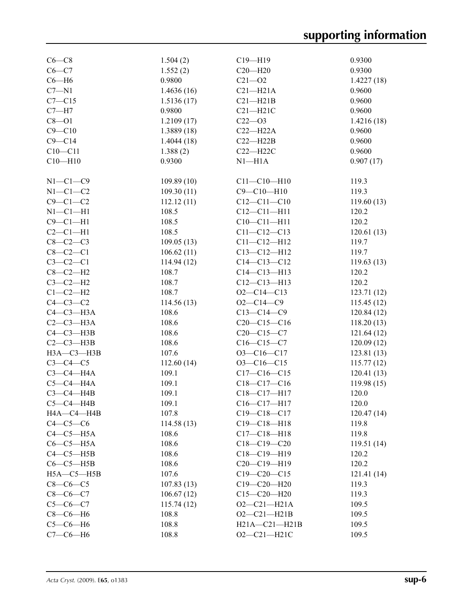| $C6-C8$          | 1.504(2)   | $C19 - H19$                  | 0.9300                   |
|------------------|------------|------------------------------|--------------------------|
| $C6 - C7$        | 1.552(2)   | $C20 - H20$                  | 0.9300                   |
| $C6 - H6$        | 0.9800     | $C21 - O2$                   | 1.4227(18)               |
| $C7 - N1$        | 1.4636(16) | $C21 - H21A$                 | 0.9600                   |
| $C7 - C15$       | 1.5136(17) | $C21 - H21B$                 | 0.9600                   |
| $C7 - H7$        | 0.9800     | $C21 - H21C$                 | 0.9600                   |
| $C8 - O1$        | 1.2109(17) | $C22 - O3$                   | 1.4216(18)               |
| $C9 - C10$       | 1.3889(18) | $C22-H22A$                   | 0.9600                   |
| $C9 - C14$       | 1.4044(18) | $C22-H22B$                   | 0.9600                   |
| $C10-C11$        | 1.388(2)   | $C22 - H22C$                 | 0.9600                   |
| $C10 - H10$      | 0.9300     | $N1 - H1A$                   | 0.907(17)                |
|                  |            |                              |                          |
| $N1-C1-C9$       | 109.89(10) | $C11 - C10 - H10$            | 119.3                    |
| $N1-C1-C2$       | 109.30(11) | $C9 - C10 - H10$             | 119.3                    |
| $C9 - C1 - C2$   | 112.12(11) | $C12 - C11 - C10$            | 119.60(13)               |
| $N1-C1-H1$       | 108.5      | $C12 - C11 - H11$            | 120.2                    |
| $C9 - C1 - H1$   | 108.5      | $C10 - C11 - H11$            | 120.2                    |
| $C2-C1-H1$       | 108.5      | $C11 - C12 - C13$            | 120.61(13)               |
| $C8-C2-C3$       | 109.05(13) | $C11 - C12 - H12$            | 119.7                    |
| $C8-C2-C1$       | 106.62(11) | $C13 - C12 - H12$            | 119.7                    |
| $C3-C2-C1$       | 114.94(12) | $C14 - C13 - C12$            | 119.63(13)               |
| $C8-C2-H2$       | 108.7      | $C14 - C13 - H13$            | 120.2                    |
| $C3-C2-H2$       | 108.7      | $C12 - C13 - H13$            | 120.2                    |
| $C1-C2-H2$       | 108.7      | $O2 - C14 - C13$             | 123.71(12)               |
| $C4-C3-C2$       | 114.56(13) | $O2 - C14 - C9$              | 115.45(12)               |
| $C4-C3-H3A$      | 108.6      | $C13-C14-C9$                 | 120.84(12)               |
| $C2-C3-H3A$      | 108.6      | $C20-C15-C16$                | 118.20(13)               |
| $C4 - C3 - H3B$  | 108.6      | $C20-C15-C7$                 | 121.64(12)               |
| $C2-C3-H3B$      | 108.6      | $C16-C15-C7$                 | 120.09(12)               |
| НЗА-СЗ-НЗВ       | 107.6      | $O3 - C16 - C17$             | 123.81 (13)              |
| $C3-C4-C5$       | 112.60(14) | $O3 - C16 - C15$             |                          |
| $C3-C4-H4A$      | 109.1      | $C17 - C16 - C15$            | 115.77(12)<br>120.41(13) |
| $C5-C4-H4A$      | 109.1      |                              |                          |
| $C3-C4-H4B$      |            | $C18-C17-C16$<br>C18-C17-H17 | 119.98(15)               |
|                  | 109.1      |                              | 120.0                    |
| $C5-C4-H4B$      | 109.1      | $C16 - C17 - H17$            | 120.0                    |
| HA—C4—H4B        | 107.8      | $C19 - C18 - C17$            | 120.47(14)               |
| $C4-C5-C6$       | 114.58(13) | $C19 - C18 - H18$            | 119.8                    |
| $C4-C5-H5A$      | 108.6      | $C17 - C18 - H18$            | 119.8                    |
| $C6-C5-H5A$      | 108.6      | $C18-C19-C20$                | 119.51(14)               |
| $C4-C5-H5B$      | 108.6      | $C18-C19-H19$                | 120.2                    |
| $C6-C5-H5B$      | 108.6      | C20-C19-H19                  | 120.2                    |
| $H5A - C5 - H5B$ | 107.6      | $C19 - C20 - C15$            | 121.41(14)               |
| $C8-C6-C5$       | 107.83(13) | $C19 - C20 - H20$            | 119.3                    |
| $C8-C6-C7$       | 106.67(12) | $C15 - C20 - H20$            | 119.3                    |
| $C5 - C6 - C7$   | 115.74(12) | $O2 - C21 - H21A$            | 109.5                    |
| $C8-C6-H6$       | 108.8      | $O2 - C21 - H21B$            | 109.5                    |
| $C5-C6-H6$       | 108.8      | $H21A - C21 - H21B$          | 109.5                    |
| $C7-C6-H6$       | 108.8      | $O2 - C21 - H21C$            | 109.5                    |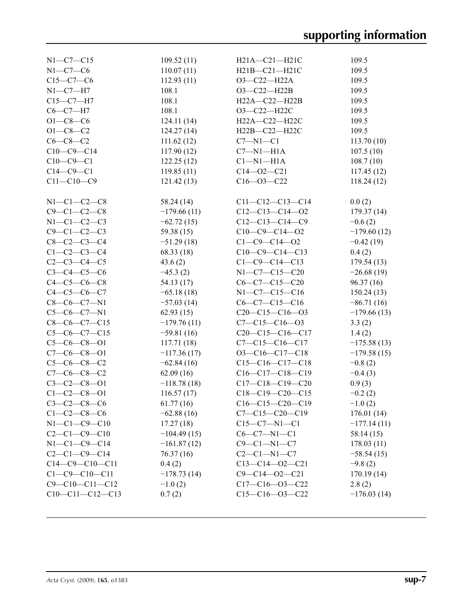| $N1 - C7 - C15$        | 109.52(11)    | H21A-C21-H21C            | 109.5         |
|------------------------|---------------|--------------------------|---------------|
| $N1-C7-C6$             | 110.07(11)    | H21B-C21-H21C            | 109.5         |
| $C15-C7-C6$            | 112.93(11)    | O3-C22-H22A              | 109.5         |
| $N1-C7-H7$             | 108.1         | O3-C22-H22B              | 109.5         |
| $C15-C7-H7$            | 108.1         | H22A-C22-H22B            | 109.5         |
| $C6-C7-H7$             | 108.1         | $O3-C22-H22C$            | 109.5         |
| $O1 - C8 - C6$         | 124.11(14)    | H22A-C22-H22C            | 109.5         |
| $O1 - C8 - C2$         |               | H22B-C22-H22C            | 109.5         |
|                        | 124.27(14)    |                          |               |
| $C6-C8-C2$             | 111.62(12)    | $C7 - N1 - C1$           | 113.70(10)    |
| $C10-C9-C14$           | 117.90(12)    | $C7 - N1 - H1A$          | 107.5(10)     |
| $C10-C9-C1$            | 122.25(12)    | $Cl-M1-H1A$              | 108.7(10)     |
| $C14-C9-C1$            | 119.85(11)    | $C14 - 02 - C21$         | 117.45(12)    |
| $C11 - C10 - C9$       | 121.42(13)    | $C16 - 03 - C22$         | 118.24(12)    |
| $N1 - C1 - C2 - C8$    | 58.24 (14)    | $C11-C12-C13-C14$        | 0.0(2)        |
| $C9 - C1 - C2 - C8$    | $-179.66(11)$ | $C12-C13-C14-O2$         | 179.37(14)    |
| $N1-C1-C2-C3$          | $-62.72(15)$  | $C12-C13-C14-C9$         | $-0.6(2)$     |
| $C9 - C1 - C2 - C3$    | 59.38 (15)    | $C10-C9-C14-02$          | $-179.60(12)$ |
| $C8 - C2 - C3 - C4$    | $-51.29(18)$  | $C1 - C9 - C14 - 02$     | $-0.42(19)$   |
| $C1 - C2 - C3 - C4$    | 68.33 (18)    | $C10-C9-C14-C13$         | 0.4(2)        |
| $C2 - C3 - C4 - C5$    | 43.6(2)       | $C1 - C9 - C14 - C13$    | 179.54 (13)   |
| $C3 - C4 - C5 - C6$    | $-45.3(2)$    | $N1-C7-C15-C20$          | $-26.68(19)$  |
| $C4 - C5 - C6 - C8$    | 54.13 (17)    | $C6 - C7 - C15 - C20$    | 96.37(16)     |
| $C4 - C5 - C6 - C7$    | $-65.18(18)$  | $N1-C7-C15-C16$          | 150.24(13)    |
| $C8-C6-C7-N1$          | $-57.03(14)$  | $C6-C7-C15-C16$          | $-86.71(16)$  |
| $C5-C6-C7-N1$          | 62.93(15)     | $C20-C15-C16-03$         | $-179.66(13)$ |
| $C8-C6-C7-C15$         | $-179.76(11)$ | $C7 - C15 - C16 - 03$    | 3.3(2)        |
| $C5-C6-C7-C15$         | $-59.81(16)$  | $C20-C15-C16-C17$        | 1.4(2)        |
| $C5-C6-C8-O1$          | 117.71(18)    | $C7 - C15 - C16 - C17$   | $-175.58(13)$ |
| $C7-C6-C8-O1$          | $-117.36(17)$ | $O3-C16-C17-C18$         | $-179.58(15)$ |
| $C5-C6-C8-C2$          | $-62.84(16)$  | $C15-C16-C17-C18$        | $-0.8(2)$     |
| $C7-C6-C8-C2$          | 62.09(16)     | $C16-C17-C18-C19$        | $-0.4(3)$     |
| $C3 - C2 - C8 - 01$    | $-118.78(18)$ | $C17-C18-C19-C20$        | 0.9(3)        |
| $C1 - C2 - C8 - 01$    | 116.57(17)    | $C18-C19-C20-C15$        | $-0.2(2)$     |
| $C3 - C2 - C8 - C6$    | 61.77(16)     | $C16-C15-C20-C19$        | $-1.0(2)$     |
| $C1 - C2 - C8 - C6$    | $-62.88(16)$  | $C7 - C15 - C20 - C19$   | 176.01 (14)   |
| $N1 - C1 - C9 - C10$   | 17.27(18)     | $C15-C7-N1-C1$           | $-177.14(11)$ |
| $C2 - C1 - C9 - C10$   | $-104.49(15)$ | $C6-C7-N1-C1$            | 58.14 (15)    |
| $N1 - C1 - C9 - C14$   | $-161.87(12)$ | $C9-C1-N1-C7$            |               |
| $C2-C1-C9-C14$         |               | $C2-C1-N1-C7$            | 178.03(11)    |
|                        | 76.37(16)     |                          | $-58.54(15)$  |
| $C14-C9-C10-C11$       | 0.4(2)        | $C13-C14-O2-C21$         | $-9.8(2)$     |
| $C1 - C9 - C10 - C11$  | $-178.73(14)$ | $C9 - C14 - 02 - C21$    | 170.19(14)    |
| $C9 - C10 - C11 - C12$ | $-1.0(2)$     | $C17-C16$ - $O3$ - $C22$ | 2.8(2)        |
| $C10-C11-C12-C13$      | 0.7(2)        | $C15-C16$ - $O3$ - $C22$ | $-176.03(14)$ |